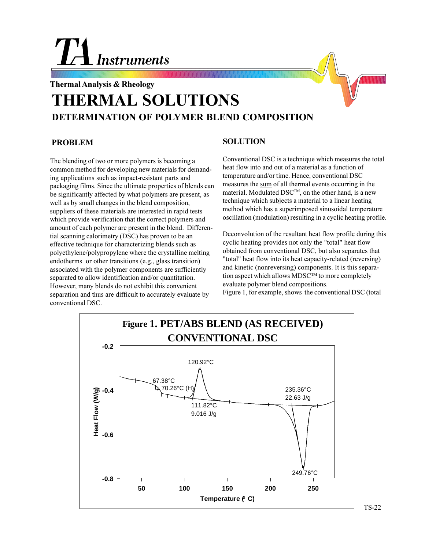## **Instruments**

## **Thermal Analysis & Rheology THERMAL SOLUTIONS DETERMINATION OF POLYMER BLEND COMPOSITION**

## **PROBLEM**

The blending of two or more polymers is becoming a common method for developing new materials for demanding applications such as impact-resistant parts and packaging films. Since the ultimate properties of blends can be significantly affected by what polymers are present, as well as by small changes in the blend composition, suppliers of these materials are interested in rapid tests which provide verification that the correct polymers and amount of each polymer are present in the blend. Differential scanning calorimetry (DSC) has proven to be an effective technique for characterizing blends such as polyethylene/polypropylene where the crystalline melting endotherms or other transitions (e.g., glass transition) associated with the polymer components are sufficiently separated to allow identification and/or quantitation. However, many blends do not exhibit this convenient separation and thus are difficult to accurately evaluate by conventional DSC.

## **SOLUTION**

Conventional DSC is a technique which measures the total heat flow into and out of a material as a function of temperature and/or time. Hence, conventional DSC measures the sum of all thermal events occurring in the material. Modulated DSCTM, on the other hand, is a new technique which subjects a material to a linear heating method which has a superimposed sinusoidal temperature oscillation (modulation) resulting in a cyclic heating profile.

Deconvolution of the resultant heat flow profile during this cyclic heating provides not only the "total" heat flow obtained from conventional DSC, but also separates that "total" heat flow into its heat capacity-related (reversing) and kinetic (nonreversing) components. It is this separation aspect which allows MDSC<sup>TM</sup> to more completely evaluate polymer blend compositions.





TS-22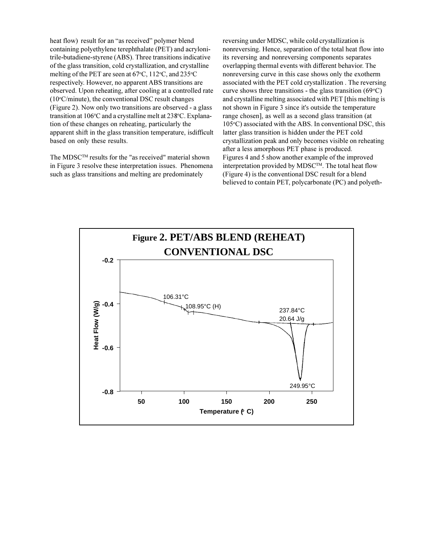heat flow) result for an "as received" polymer blend containing polyethylene terephthalate (PET) and acrylonitrile-butadiene-styrene (ABS). Three transitions indicative of the glass transition, cold crystallization, and crystalline melting of the PET are seen at 67°C, 112°C, and 235°C respectively. However, no apparent ABS transitions are observed. Upon reheating, after cooling at a controlled rate (10°C/minute), the conventional DSC result changes (Figure 2). Now only two transitions are observed - a glass transition at 106°C and a crystalline melt at 238°C. Explanation of these changes on reheating, particularly the apparent shift in the glass transition temperature, isdifficult based on only these results.

The MDSCTM results for the "as received" material shown in Figure 3 resolve these interpretation issues. Phenomena such as glass transitions and melting are predominately

reversing under MDSC, while cold crystallization is nonreversing. Hence, separation of the total heat flow into its reversing and nonreversing components separates overlapping thermal events with different behavior. The nonreversing curve in this case shows only the exotherm associated with the PET cold crystallization . The reversing curve shows three transitions - the glass transition  $(69^{\circ}C)$ and crystalline melting associated with PET [this melting is not shown in Figure 3 since it's outside the temperature range chosen], as well as a second glass transition (at 105°C) associated with the ABS. In conventional DSC, this latter glass transition is hidden under the PET cold crystallization peak and only becomes visible on reheating after a less amorphous PET phase is produced. Figures 4 and 5 show another example of the improved interpretation provided by MDSCTM. The total heat flow (Figure 4) is the conventional DSC result for a blend believed to contain PET, polycarbonate (PC) and polyeth-

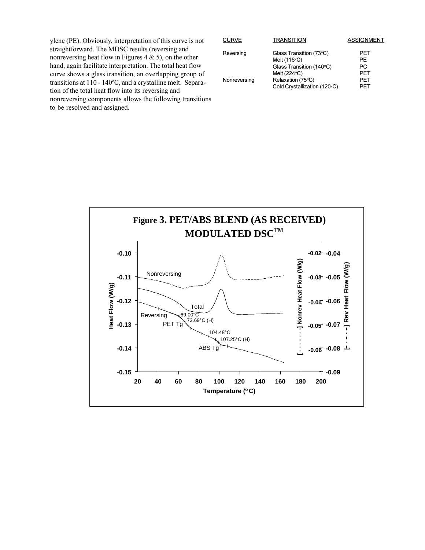ylene (PE). Obviously, interpretation of this curve is not straightforward. The MDSC results (reversing and nonreversing heat flow in Figures 4  $\&$  5), on the other hand, again facilitate interpretation. The total heat flow curve shows a glass transition, an overlapping group of transitions at 110 - 140°C, and a crystalline melt. Separation of the total heat flow into its reversing and nonreversing components allows the following transitions to be resolved and assigned.

| <b>CURVE</b> | <b>TRANSITION</b>            | <b>ASSIGNMENT</b> |
|--------------|------------------------------|-------------------|
| Reversing    | Glass Transition (73°C)      | PFT               |
|              | Melt $(116^{\circ}C)$        | PF.               |
|              | Glass Transition (140°C)     | PC.               |
|              | Melt $(224^{\circ}C)$        | <b>PFT</b>        |
| Nonreversing | Relaxation (75°C)            | PFT               |
|              | Cold Crystallization (120°C) | PFT               |